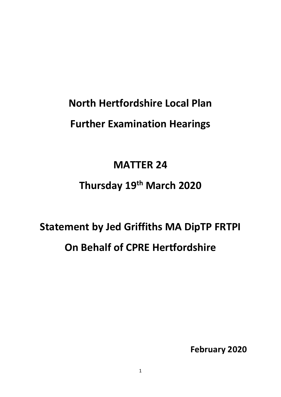## **North Hertfordshire Local Plan Further Examination Hearings**

### **MATTER 24**

## **Thursday 19th March 2020**

# **Statement by Jed Griffiths MA DipTP FRTPI On Behalf of CPRE Hertfordshire**

**February 2020**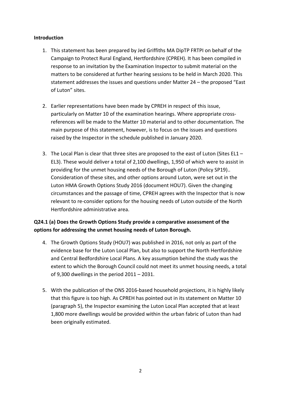#### **Introduction**

- 1. This statement has been prepared by Jed Griffiths MA DipTP FRTPI on behalf of the Campaign to Protect Rural England, Hertfordshire (CPREH). It has been compiled in response to an invitation by the Examination Inspector to submit material on the matters to be considered at further hearing sessions to be held in March 2020. This statement addresses the issues and questions under Matter 24 – the proposed "East of Luton" sites.
- 2. Earlier representations have been made by CPREH in respect of this issue, particularly on Matter 10 of the examination hearings. Where appropriate crossreferences will be made to the Matter 10 material and to other documentation. The main purpose of this statement, however, is to focus on the issues and questions raised by the Inspector in the schedule published in January 2020.
- 3. The Local Plan is clear that three sites are proposed to the east of Luton (Sites EL1 EL3). These would deliver a total of 2,100 dwellings, 1,950 of which were to assist in providing for the unmet housing needs of the Borough of Luton (Policy SP19).. Consideration of these sites, and other options around Luton, were set out in the Luton HMA Growth Options Study 2016 (document HOU7). Given the changing circumstances and the passage of time, CPREH agrees with the Inspector that is now relevant to re-consider options for the housing needs of Luton outside of the North Hertfordshire administrative area.

### **Q24.1 (a) Does the Growth Options Study provide a comparative assessment of the options for addressing the unmet housing needs of Luton Borough.**

- 4. The Growth Options Study (HOU7) was published in 2016, not only as part of the evidence base for the Luton Local Plan, but also to support the North Hertfordshire and Central Bedfordshire Local Plans. A key assumption behind the study was the extent to which the Borough Council could not meet its unmet housing needs, a total of 9,300 dwellings in the period 2011 – 2031.
- 5. With the publication of the ONS 2016-based household projections, it is highly likely that this figure is too high. As CPREH has pointed out in its statement on Matter 10 (paragraph 5), the Inspector examining the Luton Local Plan accepted that at least 1,800 more dwellings would be provided within the urban fabric of Luton than had been originally estimated.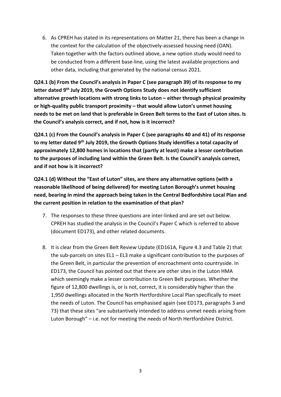6. As CPREH has stated in its representations on Matter 21, there has been a change in the context for the calculation of the objectively-assessed housing need (OAN). Taken together with the factors outlined above, a new option study would need to be conducted from a different base-line, using the latest available projections and other data, including that generated by the national census 2021.

**Q24.1 (b) From the Council's analysis in Paper C (see paragraph 39) of its response to my letter dated 9th July 2019, the Growth Options Study does not identify sufficient alternative growth locations with strong links to Luton – either through physical proximity or high-quality public transport proximity – that would allow Luton's unmet housing needs to be met on land that is preferable in Green Belt terms to the East of Luton sites. Is the Council's analysis correct, and if not, how is it incorrect?**

**Q24.1 (c) From the Council's analysis in Paper C (see paragraphs 40 and 41) of its response to my letter dated 9th July 2019, the Growth Options Study identifies a total capacity of approximately 12,800 homes in locations that (partly at least) make a lesser contribution to the purposes of including land within the Green Belt. Is the Council's analysis correct, and if not how is it incorrect?**

**Q24.1 (d) Without the "East of Luton" sites, are there any alternative options (with a reasonable likelihood of being delivered) for meeting Luton Borough's unmet housing need, bearing in mind the approach being taken in the Central Bedfordshire Local Plan and the current position in relation to the examination of that plan?**

- 7. The responses to these three questions are inter-linked and are set out below. CPREH has studied the analysis in the Council's Paper C which is referred to above (document ED173), and other related documents.
- 8. It is clear from the Green Belt Review Update (ED161A, Figure 4.3 and Table 2) that the sub-parcels on sites EL1 – EL3 make a significant contribution to the purposes of the Green Belt, in particular the prevention of encroachment onto countryside. In ED173, the Council has pointed out that there are other sites in the Luton HMA which seemingly make a lesser contribution to Green Belt purposes. Whether the figure of 12,800 dwellings is, or is not, correct, it is considerably higher than the 1,950 dwellings allocated in the North Hertfordshire Local Plan specifically to meet the needs of Luton. The Council has emphasised again (see ED173, paragraphs 3 and 73) that these sites "are substantively intended to address unmet needs arising from Luton Borough" – i.e. not for meeting the needs of North Hertfordshire District.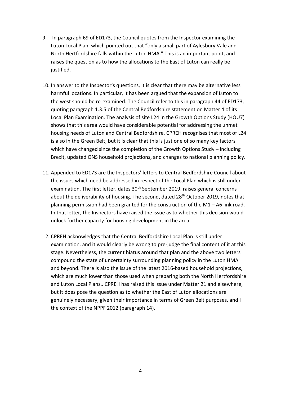- 9. In paragraph 69 of ED173, the Council quotes from the Inspector examining the Luton Local Plan, which pointed out that "only a small part of Aylesbury Vale and North Hertfordshire falls within the Luton HMA." This is an important point, and raises the question as to how the allocations to the East of Luton can really be justified.
- 10. In answer to the Inspector's questions, it is clear that there may be alternative less harmful locations. In particular, it has been argued that the expansion of Luton to the west should be re-examined. The Council refer to this in paragraph 44 of ED173, quoting paragraph 1.3.5 of the Central Bedfordshire statement on Matter 4 of its Local Plan Examination. The analysis of site L24 in the Growth Options Study (HOU7) shows that this area would have considerable potential for addressing the unmet housing needs of Luton and Central Bedfordshire. CPREH recognises that most of L24 is also in the Green Belt, but it is clear that this is just one of so many key factors which have changed since the completion of the Growth Options Study – including Brexit, updated ONS household projections, and changes to national planning policy.
- 11. Appended to ED173 are the Inspectors' letters to Central Bedfordshire Council about the issues which need be addressed in respect of the Local Plan which is still under examination. The first letter, dates 30<sup>th</sup> September 2019, raises general concerns about the deliverability of housing. The second, dated 28<sup>th</sup> October 2019, notes that planning permission had been granted for the construction of the M1 – A6 link road. In that letter, the Inspectors have raised the issue as to whether this decision would unlock further capacity for housing development in the area.
- 12. CPREH acknowledges that the Central Bedfordshire Local Plan is still under examination, and it would clearly be wrong to pre-judge the final content of it at this stage. Nevertheless, the current hiatus around that plan and the above two letters compound the state of uncertainty surrounding planning policy in the Luton HMA and beyond. There is also the issue of the latest 2016-based household projections, which are much lower than those used when preparing both the North Hertfordshire and Luton Local Plans.. CPREH has raised this issue under Matter 21 and elsewhere, but it does pose the question as to whether the East of Luton allocations are genuinely necessary, given their importance in terms of Green Belt purposes, and I the context of the NPPF 2012 (paragraph 14).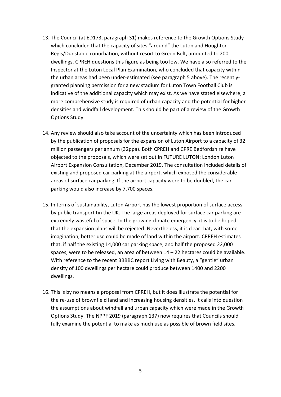- 13. The Council (at ED173, paragraph 31) makes reference to the Growth Options Study which concluded that the capacity of sites "around" the Luton and Houghton Regis/Dunstable conurbation, without resort to Green Belt, amounted to 200 dwellings. CPREH questions this figure as being too low. We have also referred to the Inspector at the Luton Local Plan Examination, who concluded that capacity within the urban areas had been under-estimated (see paragraph 5 above). The recentlygranted planning permission for a new stadium for Luton Town Football Club is indicative of the additional capacity which may exist. As we have stated elsewhere, a more comprehensive study is required of urban capacity and the potential for higher densities and windfall development. This should be part of a review of the Growth Options Study.
- 14. Any review should also take account of the uncertainty which has been introduced by the publication of proposals for the expansion of Luton Airport to a capacity of 32 million passengers per annum (32ppa). Both CPREH and CPRE Bedfordshire have objected to the proposals, which were set out in FUTURE LUTON: London Luton Airport Expansion Consultation, December 2019. The consultation included details of existing and proposed car parking at the airport, which exposed the considerable areas of surface car parking. If the airport capacity were to be doubled, the car parking would also increase by 7,700 spaces.
- 15. In terms of sustainability, Luton Airport has the lowest proportion of surface access by public transport tin the UK. The large areas deployed for surface car parking are extremely wasteful of space. In the growing climate emergency, it is to be hoped that the expansion plans will be rejected. Nevertheless, it is clear that, with some imagination, better use could be made of land within the airport. CPREH estimates that, if half the existing 14,000 car parking space, and half the proposed 22,000 spaces, were to be released, an area of between 14 – 22 hectares could be available. With reference to the recent BBBBC report Living with Beauty, a "gentle" urban density of 100 dwellings per hectare could produce between 1400 and 2200 dwellings.
- 16. This is by no means a proposal from CPREH, but it does illustrate the potential for the re-use of brownfield land and increasing housing densities. It calls into question the assumptions about windfall and urban capacity which were made in the Growth Options Study. The NPPF 2019 (paragraph 137) now requires that Councils should fully examine the potential to make as much use as possible of brown field sites.